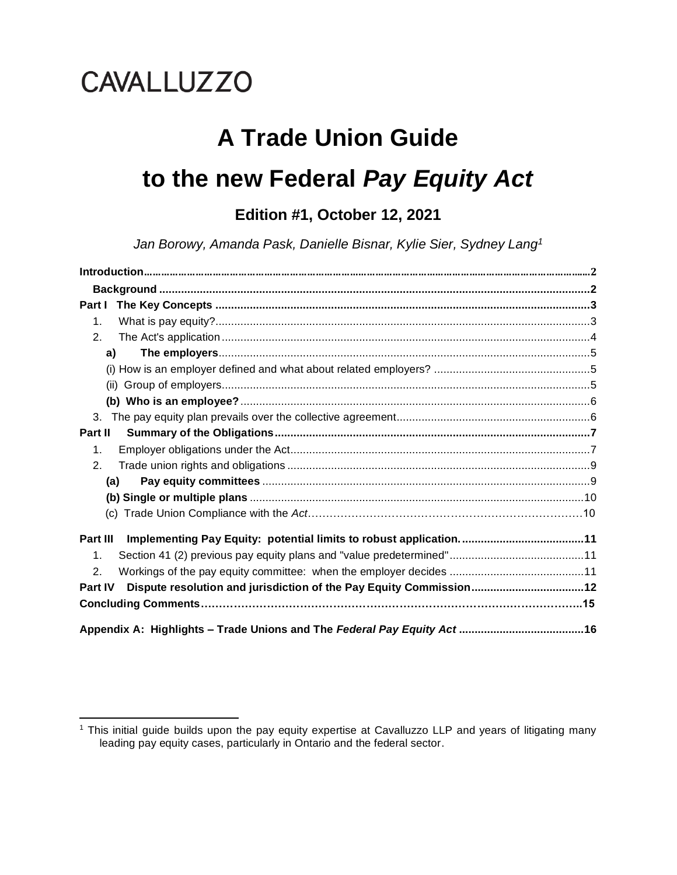# **CAVALLUZZO**

# **A Trade Union Guide to the new Federal** *Pay Equity Act*

# **Edition #1, October 12, 2021**

*Jan Borowy, Amanda Pask, Danielle Bisnar, Kylie Sier, Sydney Lang<sup>1</sup>*

| Part I         |  |
|----------------|--|
| $\mathbf{1}$ . |  |
| 2.             |  |
| a)             |  |
|                |  |
|                |  |
|                |  |
| 3.             |  |
| Part II        |  |
| $\mathbf{1}$ . |  |
| 2.             |  |
| (a)            |  |
|                |  |
|                |  |
| Part III       |  |
| $\mathbf 1$ .  |  |
| $\mathbf{2}$ . |  |
| Part IV        |  |
|                |  |
|                |  |

<sup>&</sup>lt;sup>1</sup> This initial guide builds upon the pay equity expertise at Cavalluzzo LLP and years of litigating many leading pay equity cases, particularly in Ontario and the federal sector.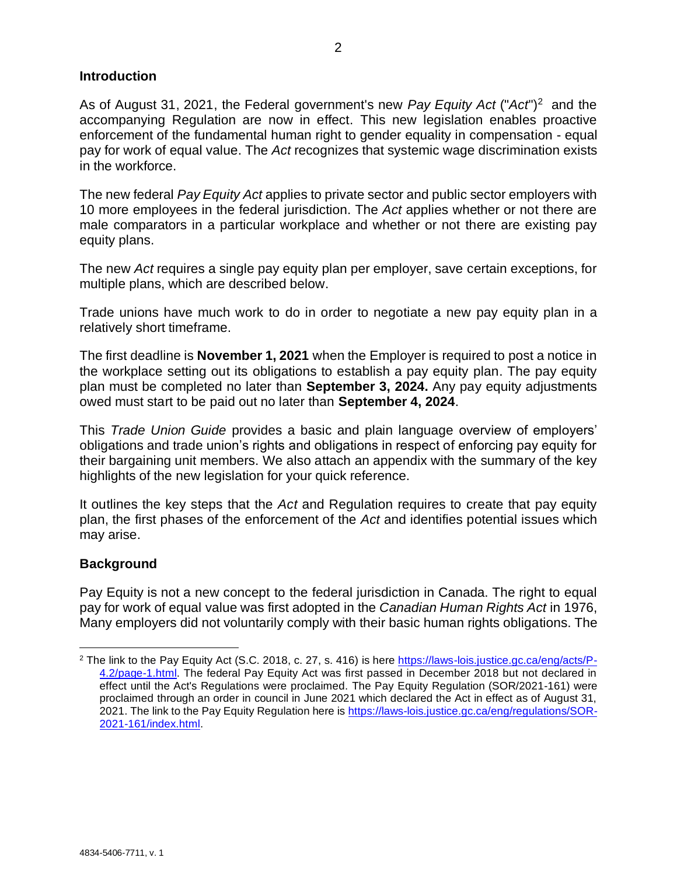#### **Introduction**

As of August 31, 2021, the Federal government's new Pay Equity Act ("Act")<sup>2</sup> and the accompanying Regulation are now in effect. This new legislation enables proactive enforcement of the fundamental human right to gender equality in compensation - equal pay for work of equal value. The *Act* recognizes that systemic wage discrimination exists in the workforce.

The new federal *Pay Equity Act* applies to private sector and public sector employers with 10 more employees in the federal jurisdiction. The *Act* applies whether or not there are male comparators in a particular workplace and whether or not there are existing pay equity plans.

The new *Act* requires a single pay equity plan per employer, save certain exceptions, for multiple plans, which are described below.

Trade unions have much work to do in order to negotiate a new pay equity plan in a relatively short timeframe.

The first deadline is **November 1, 2021** when the Employer is required to post a notice in the workplace setting out its obligations to establish a pay equity plan. The pay equity plan must be completed no later than **September 3, 2024.** Any pay equity adjustments owed must start to be paid out no later than **September 4, 2024**.

This *Trade Union Guide* provides a basic and plain language overview of employers' obligations and trade union's rights and obligations in respect of enforcing pay equity for their bargaining unit members. We also attach an appendix with the summary of the key highlights of the new legislation for your quick reference.

It outlines the key steps that the *Act* and Regulation requires to create that pay equity plan, the first phases of the enforcement of the *Act* and identifies potential issues which may arise.

#### **Background**

Pay Equity is not a new concept to the federal jurisdiction in Canada. The right to equal pay for work of equal value was first adopted in the *Canadian Human Rights Act* in 1976, Many employers did not voluntarily comply with their basic human rights obligations. The

<sup>&</sup>lt;sup>2</sup> The link to the Pay Equity Act (S.C. 2018, c. 27, s. 416) is here [https://laws-lois.justice.gc.ca/eng/acts/P-](https://laws-lois.justice.gc.ca/eng/acts/P-4.2/page-1.html)[4.2/page-1.html.](https://laws-lois.justice.gc.ca/eng/acts/P-4.2/page-1.html) The federal Pay Equity Act was first passed in December 2018 but not declared in effect until the Act's Regulations were proclaimed. The Pay Equity Regulation (SOR/2021-161) were proclaimed through an order in council in June 2021 which declared the Act in effect as of August 31, 2021. The link to the Pay Equity Regulation here is [https://laws-lois.justice.gc.ca/eng/regulations/SOR-](https://laws-lois.justice.gc.ca/eng/regulations/SOR-2021-161/index.html)[2021-161/index.html.](https://laws-lois.justice.gc.ca/eng/regulations/SOR-2021-161/index.html)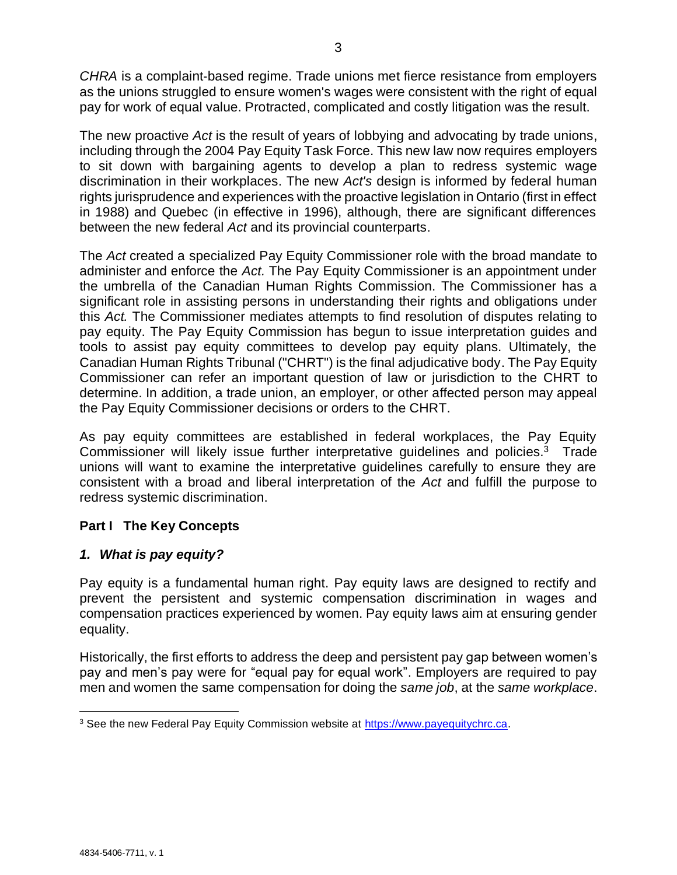*CHRA* is a complaint‑based regime. Trade unions met fierce resistance from employers as the unions struggled to ensure women's wages were consistent with the right of equal pay for work of equal value. Protracted, complicated and costly litigation was the result.

The new proactive *Act* is the result of years of lobbying and advocating by trade unions, including through the 2004 Pay Equity Task Force. This new law now requires employers to sit down with bargaining agents to develop a plan to redress systemic wage discrimination in their workplaces. The new *Act's* design is informed by federal human rights jurisprudence and experiences with the proactive legislation in Ontario (first in effect in 1988) and Quebec (in effective in 1996), although, there are significant differences between the new federal *Act* and its provincial counterparts.

The *Act* created a specialized Pay Equity Commissioner role with the broad mandate to administer and enforce the *Act.* The Pay Equity Commissioner is an appointment under the umbrella of the Canadian Human Rights Commission. The Commissioner has a significant role in assisting persons in understanding their rights and obligations under this *Act.* The Commissioner mediates attempts to find resolution of disputes relating to pay equity. The Pay Equity Commission has begun to issue interpretation guides and tools to assist pay equity committees to develop pay equity plans. Ultimately, the Canadian Human Rights Tribunal ("CHRT") is the final adjudicative body. The Pay Equity Commissioner can refer an important question of law or jurisdiction to the CHRT to determine. In addition, a trade union, an employer, or other affected person may appeal the Pay Equity Commissioner decisions or orders to the CHRT.

As pay equity committees are established in federal workplaces, the Pay Equity Commissioner will likely issue further interpretative guidelines and policies. $3$  Trade unions will want to examine the interpretative guidelines carefully to ensure they are consistent with a broad and liberal interpretation of the *Act* and fulfill the purpose to redress systemic discrimination.

# **Part I The Key Concepts**

#### *1. What is pay equity?*

Pay equity is a fundamental human right. Pay equity laws are designed to rectify and prevent the persistent and systemic compensation discrimination in wages and compensation practices experienced by women. Pay equity laws aim at ensuring gender equality.

Historically, the first efforts to address the deep and persistent pay gap between women's pay and men's pay were for "equal pay for equal work". Employers are required to pay men and women the same compensation for doing the *same job*, at the *same workplace*.

<sup>&</sup>lt;sup>3</sup> See the new Federal Pay Equity Commission website at [https://www.payequitychrc.ca.](https://www.payequitychrc.ca/)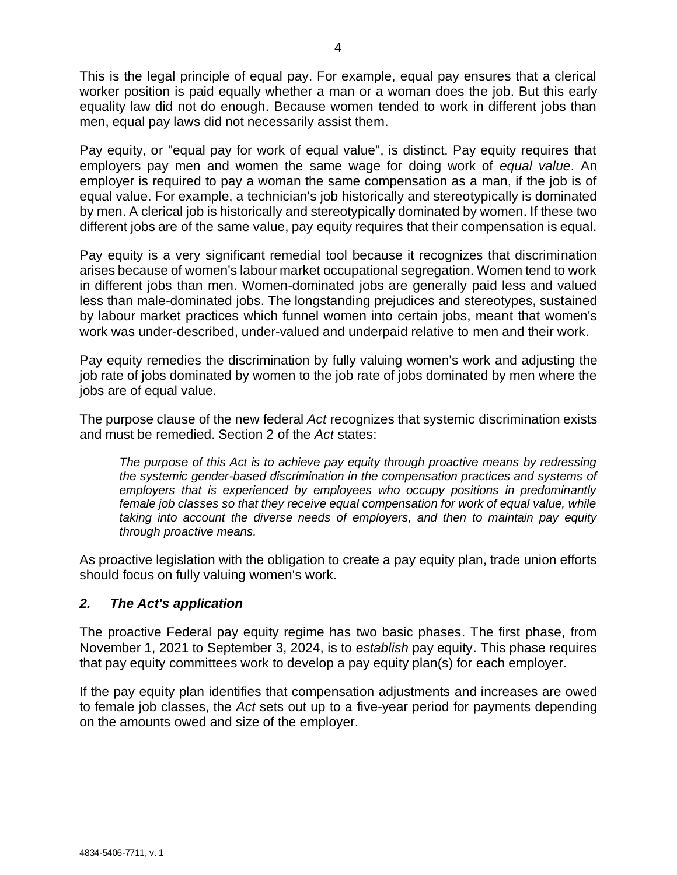This is the legal principle of equal pay. For example, equal pay ensures that a clerical worker position is paid equally whether a man or a woman does the job. But this early equality law did not do enough. Because women tended to work in different jobs than men, equal pay laws did not necessarily assist them.

Pay equity, or "equal pay for work of equal value", is distinct. Pay equity requires that employers pay men and women the same wage for doing work of *equal value*. An employer is required to pay a woman the same compensation as a man, if the job is of equal value. For example, a technician's job historically and stereotypically is dominated by men. A clerical job is historically and stereotypically dominated by women. If these two different jobs are of the same value, pay equity requires that their compensation is equal.

Pay equity is a very significant remedial tool because it recognizes that discrimination arises because of women's labour market occupational segregation. Women tend to work in different jobs than men. Women-dominated jobs are generally paid less and valued less than male-dominated jobs. The longstanding prejudices and stereotypes, sustained by labour market practices which funnel women into certain jobs, meant that women's work was under-described, under-valued and underpaid relative to men and their work.

Pay equity remedies the discrimination by fully valuing women's work and adjusting the job rate of jobs dominated by women to the job rate of jobs dominated by men where the jobs are of equal value.

The purpose clause of the new federal *Act* recognizes that systemic discrimination exists and must be remedied. Section 2 of the *Act* states:

*The purpose of this Act is to achieve pay equity through proactive means by redressing the systemic gender-based discrimination in the compensation practices and systems of employers that is experienced by employees who occupy positions in predominantly female job classes so that they receive equal compensation for work of equal value, while taking into account the diverse needs of employers, and then to maintain pay equity through proactive means.*

As proactive legislation with the obligation to create a pay equity plan, trade union efforts should focus on fully valuing women's work.

#### *2. The Act's application*

The proactive Federal pay equity regime has two basic phases. The first phase, from November 1, 2021 to September 3, 2024, is to *establish* pay equity. This phase requires that pay equity committees work to develop a pay equity plan(s) for each employer.

If the pay equity plan identifies that compensation adjustments and increases are owed to female job classes, the *Act* sets out up to a five-year period for payments depending on the amounts owed and size of the employer.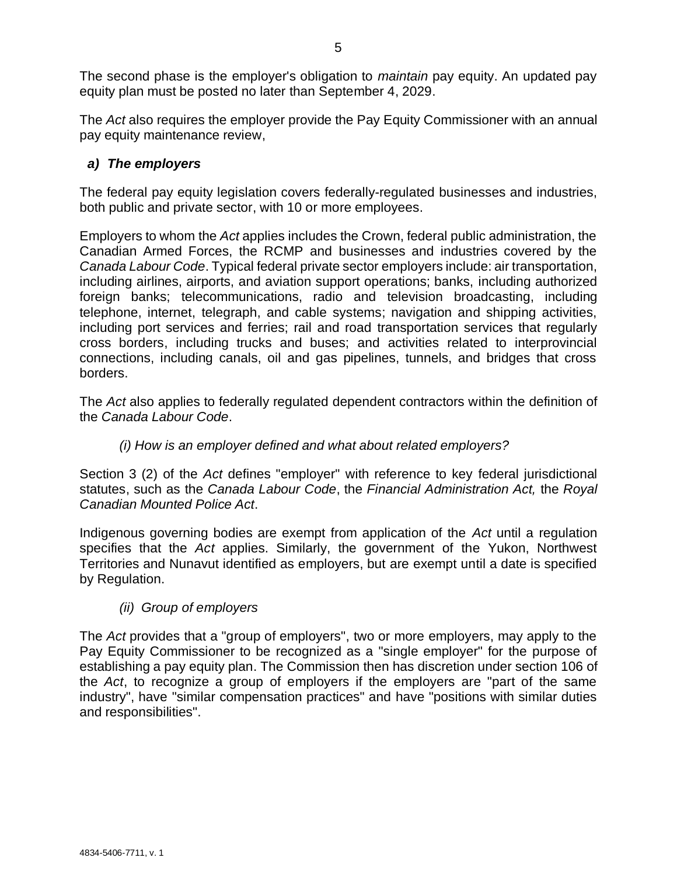The second phase is the employer's obligation to *maintain* pay equity. An updated pay equity plan must be posted no later than September 4, 2029.

The *Act* also requires the employer provide the Pay Equity Commissioner with an annual pay equity maintenance review,

### *a) The employers*

The federal pay equity legislation covers federally-regulated businesses and industries, both public and private sector, with 10 or more employees.

Employers to whom the *Act* applies includes the Crown, federal public administration, the Canadian Armed Forces, the RCMP and businesses and industries covered by the *Canada Labour Code*. Typical federal private sector employers include: air transportation, including airlines, airports, and aviation support operations; banks, including authorized foreign banks; telecommunications, radio and television broadcasting, including telephone, internet, telegraph, and cable systems; navigation and shipping activities, including port services and ferries; rail and road transportation services that regularly cross borders, including trucks and buses; and activities related to interprovincial connections, including canals, oil and gas pipelines, tunnels, and bridges that cross borders.

The *Act* also applies to federally regulated dependent contractors within the definition of the *Canada Labour Code*.

# *(i) How is an employer defined and what about related employers?*

Section 3 (2) of the *Act* defines "employer" with reference to key federal jurisdictional statutes, such as the *Canada Labour Code*, the *Financial Administration Act,* the *Royal Canadian Mounted Police Act*.

Indigenous governing bodies are exempt from application of the *Act* until a regulation specifies that the *Act* applies. Similarly, the government of the Yukon, Northwest Territories and Nunavut identified as employers, but are exempt until a date is specified by Regulation.

#### *(ii) Group of employers*

The *Act* provides that a "group of employers", two or more employers, may apply to the Pay Equity Commissioner to be recognized as a "single employer" for the purpose of establishing a pay equity plan. The Commission then has discretion under section 106 of the *Act*, to recognize a group of employers if the employers are "part of the same industry", have "similar compensation practices" and have "positions with similar duties and responsibilities".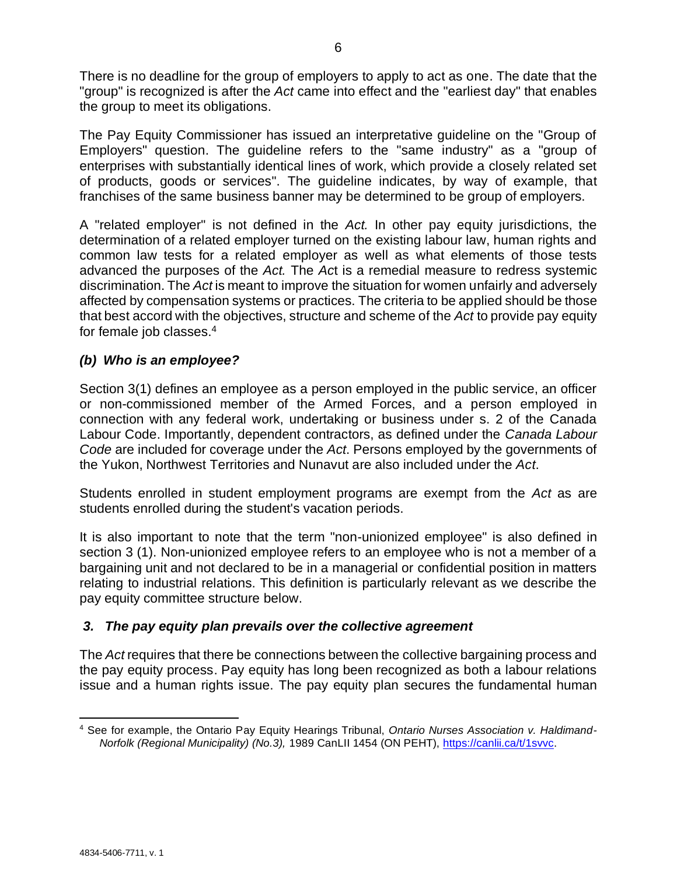There is no deadline for the group of employers to apply to act as one. The date that the "group" is recognized is after the *Act* came into effect and the "earliest day" that enables the group to meet its obligations.

The Pay Equity Commissioner has issued an interpretative guideline on the "Group of Employers" question. The guideline refers to the "same industry" as a "group of enterprises with substantially identical lines of work, which provide a closely related set of products, goods or services". The guideline indicates, by way of example, that franchises of the same business banner may be determined to be group of employers.

A "related employer" is not defined in the *Act.* In other pay equity jurisdictions, the determination of a related employer turned on the existing labour law, human rights and common law tests for a related employer as well as what elements of those tests advanced the purposes of the *Act.* The *Ac*t is a remedial measure to redress systemic discrimination. The *Act* is meant to improve the situation for women unfairly and adversely affected by compensation systems or practices. The criteria to be applied should be those that best accord with the objectives, structure and scheme of the *Act* to provide pay equity for female job classes. 4

# *(b) Who is an employee?*

Section 3(1) defines an employee as a person employed in the public service, an officer or non-commissioned member of the Armed Forces, and a person employed in connection with any federal work, undertaking or business under s. 2 of the Canada Labour Code. Importantly, dependent contractors, as defined under the *Canada Labour Code* are included for coverage under the *Act*. Persons employed by the governments of the Yukon, Northwest Territories and Nunavut are also included under the *Act*.

Students enrolled in student employment programs are exempt from the *Act* as are students enrolled during the student's vacation periods.

It is also important to note that the term "non-unionized employee" is also defined in section 3 (1). Non-unionized employee refers to an employee who is not a member of a bargaining unit and not declared to be in a managerial or confidential position in matters relating to industrial relations. This definition is particularly relevant as we describe the pay equity committee structure below.

# *3. The pay equity plan prevails over the collective agreement*

The *Act* requires that there be connections between the collective bargaining process and the pay equity process. Pay equity has long been recognized as both a labour relations issue and a human rights issue. The pay equity plan secures the fundamental human

<sup>4</sup> See for example, the Ontario Pay Equity Hearings Tribunal, *Ontario Nurses Association v. Haldimand-Norfolk (Regional Municipality) (No.3),* 1989 CanLII 1454 (ON PEHT), [https://canlii.ca/t/1svvc.](https://canlii.ca/t/1svvc)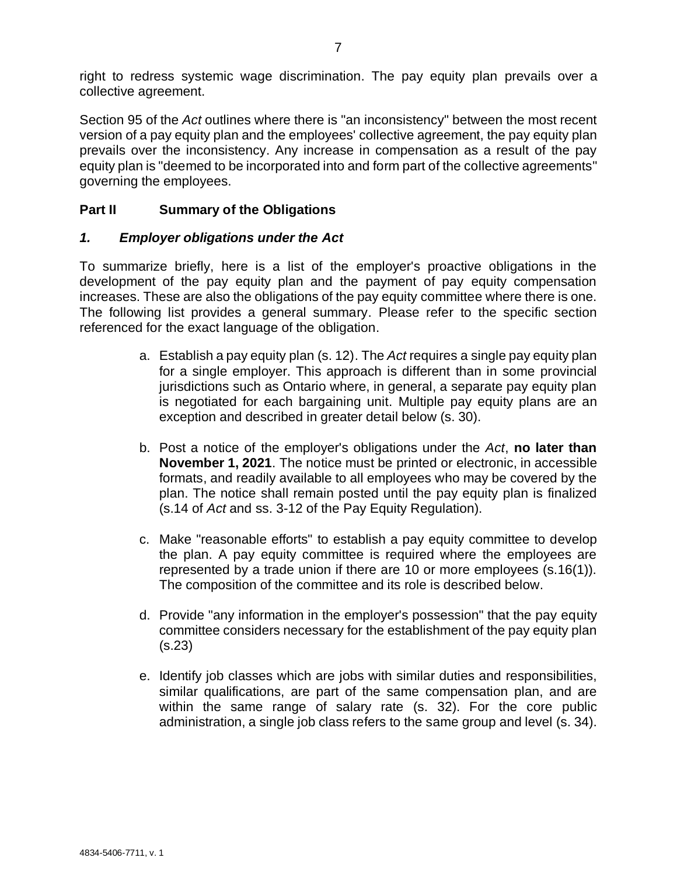right to redress systemic wage discrimination. The pay equity plan prevails over a collective agreement.

Section 95 of the *Act* outlines where there is "an inconsistency" between the most recent version of a pay equity plan and the employees' collective agreement, the pay equity plan prevails over the inconsistency. Any increase in compensation as a result of the pay equity plan is "deemed to be incorporated into and form part of the collective agreements" governing the employees.

## **Part II Summary of the Obligations**

#### *1. Employer obligations under the Act*

To summarize briefly, here is a list of the employer's proactive obligations in the development of the pay equity plan and the payment of pay equity compensation increases. These are also the obligations of the pay equity committee where there is one. The following list provides a general summary. Please refer to the specific section referenced for the exact language of the obligation.

- a. Establish a pay equity plan (s. 12). The *Act* requires a single pay equity plan for a single employer. This approach is different than in some provincial jurisdictions such as Ontario where, in general, a separate pay equity plan is negotiated for each bargaining unit. Multiple pay equity plans are an exception and described in greater detail below (s. 30).
- b. Post a notice of the employer's obligations under the *Act*, **no later than November 1, 2021**. The notice must be printed or electronic, in accessible formats, and readily available to all employees who may be covered by the plan. The notice shall remain posted until the pay equity plan is finalized (s.14 of *Act* and ss. 3-12 of the Pay Equity Regulation).
- c. Make "reasonable efforts" to establish a pay equity committee to develop the plan. A pay equity committee is required where the employees are represented by a trade union if there are 10 or more employees (s.16(1)). The composition of the committee and its role is described below.
- d. Provide "any information in the employer's possession" that the pay equity committee considers necessary for the establishment of the pay equity plan (s.23)
- e. Identify job classes which are jobs with similar duties and responsibilities, similar qualifications, are part of the same compensation plan, and are within the same range of salary rate (s. 32). For the core public administration, a single job class refers to the same group and level (s. 34).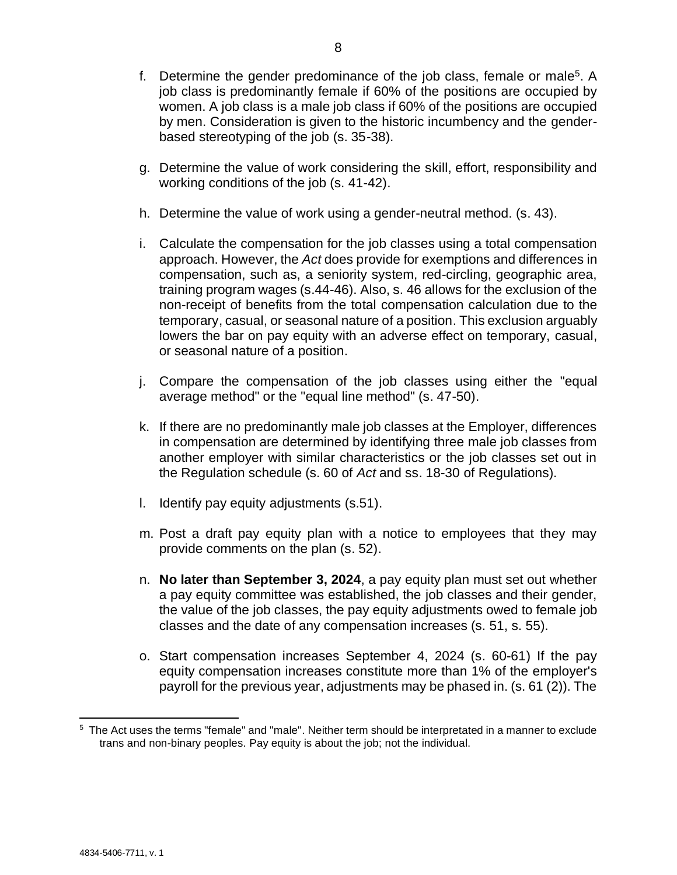- f. Determine the gender predominance of the job class, female or male<sup>5</sup>. A job class is predominantly female if 60% of the positions are occupied by women. A job class is a male job class if 60% of the positions are occupied by men. Consideration is given to the historic incumbency and the genderbased stereotyping of the job (s. 35-38).
- g. Determine the value of work considering the skill, effort, responsibility and working conditions of the job (s. 41-42).
- h. Determine the value of work using a gender-neutral method. (s. 43).
- i. Calculate the compensation for the job classes using a total compensation approach. However, the *Act* does provide for exemptions and differences in compensation, such as, a seniority system, red-circling, geographic area, training program wages (s.44-46). Also, s. 46 allows for the exclusion of the non-receipt of benefits from the total compensation calculation due to the temporary, casual, or seasonal nature of a position. This exclusion arguably lowers the bar on pay equity with an adverse effect on temporary, casual, or seasonal nature of a position.
- j. Compare the compensation of the job classes using either the "equal average method" or the "equal line method" (s. 47-50).
- k. If there are no predominantly male job classes at the Employer, differences in compensation are determined by identifying three male job classes from another employer with similar characteristics or the job classes set out in the Regulation schedule (s. 60 of *Act* and ss. 18-30 of Regulations).
- l. Identify pay equity adjustments (s.51).
- m. Post a draft pay equity plan with a notice to employees that they may provide comments on the plan (s. 52).
- n. **No later than September 3, 2024**, a pay equity plan must set out whether a pay equity committee was established, the job classes and their gender, the value of the job classes, the pay equity adjustments owed to female job classes and the date of any compensation increases (s. 51, s. 55).
- o. Start compensation increases September 4, 2024 (s. 60-61) If the pay equity compensation increases constitute more than 1% of the employer's payroll for the previous year, adjustments may be phased in. (s. 61 (2)). The

<sup>5</sup> The Act uses the terms "female" and "male". Neither term should be interpretated in a manner to exclude trans and non-binary peoples. Pay equity is about the job; not the individual.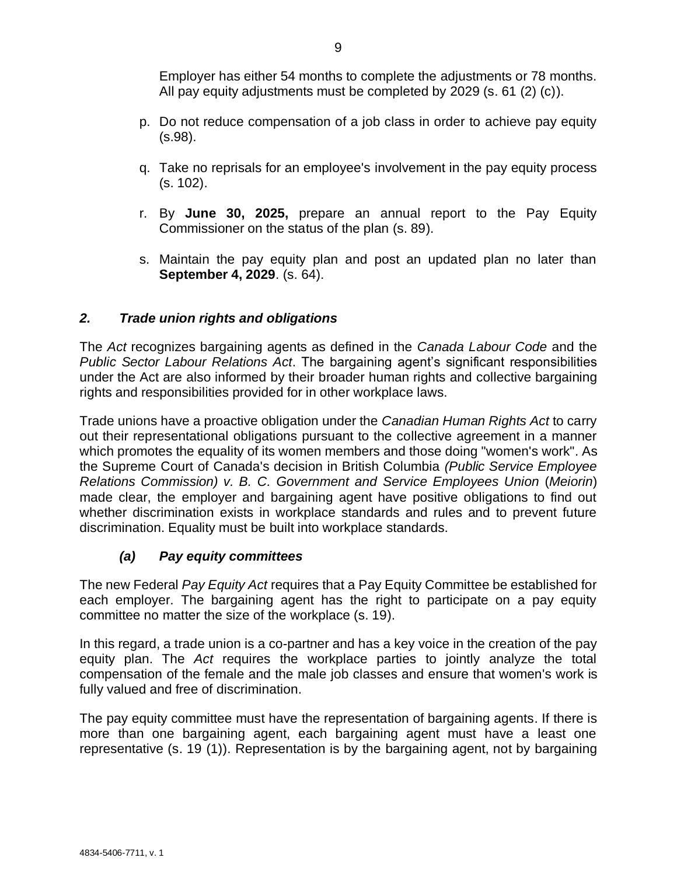Employer has either 54 months to complete the adjustments or 78 months. All pay equity adjustments must be completed by 2029 (s. 61 (2) (c)).

- p. Do not reduce compensation of a job class in order to achieve pay equity (s.98).
- q. Take no reprisals for an employee's involvement in the pay equity process (s. 102).
- r. By **June 30, 2025,** prepare an annual report to the Pay Equity Commissioner on the status of the plan (s. 89).
- s. Maintain the pay equity plan and post an updated plan no later than **September 4, 2029**. (s. 64).

### *2. Trade union rights and obligations*

The *Act* recognizes bargaining agents as defined in the *Canada Labour Code* and the *Public Sector Labour Relations Act*. The bargaining agent's significant responsibilities under the Act are also informed by their broader human rights and collective bargaining rights and responsibilities provided for in other workplace laws.

Trade unions have a proactive obligation under the *Canadian Human Rights Act* to carry out their representational obligations pursuant to the collective agreement in a manner which promotes the equality of its women members and those doing "women's work". As the Supreme Court of Canada's decision in British Columbia *(Public Service Employee Relations Commission) v. B. C. Government and Service Employees Union* (*Meiorin*) made clear, the employer and bargaining agent have positive obligations to find out whether discrimination exists in workplace standards and rules and to prevent future discrimination. Equality must be built into workplace standards.

#### *(a) Pay equity committees*

The new Federal *Pay Equity Act* requires that a Pay Equity Committee be established for each employer. The bargaining agent has the right to participate on a pay equity committee no matter the size of the workplace (s. 19).

In this regard, a trade union is a co-partner and has a key voice in the creation of the pay equity plan. The *Act* requires the workplace parties to jointly analyze the total compensation of the female and the male job classes and ensure that women's work is fully valued and free of discrimination.

The pay equity committee must have the representation of bargaining agents. If there is more than one bargaining agent, each bargaining agent must have a least one representative (s. 19 (1)). Representation is by the bargaining agent, not by bargaining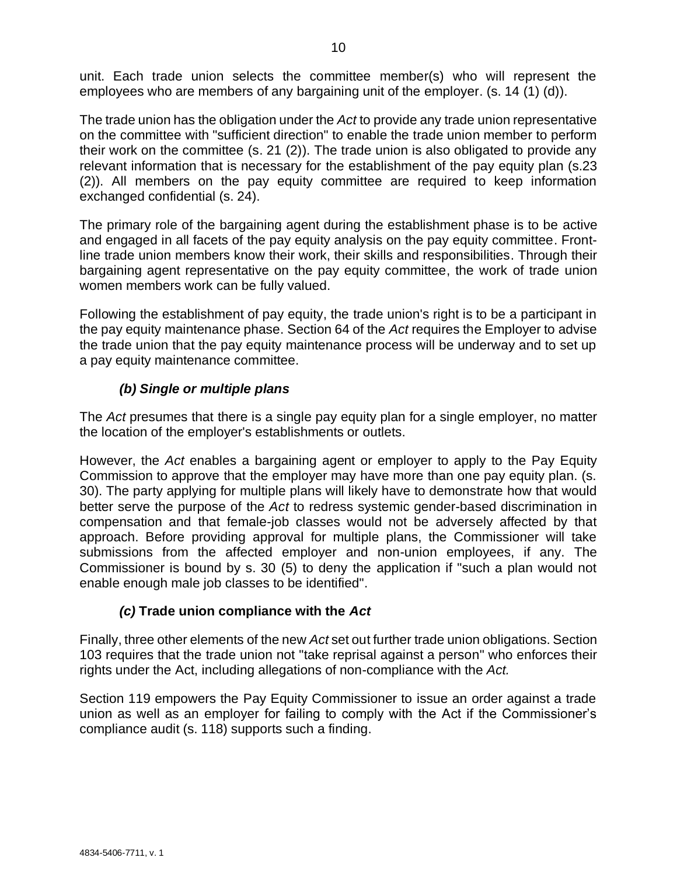unit. Each trade union selects the committee member(s) who will represent the employees who are members of any bargaining unit of the employer. (s. 14 (1) (d)).

The trade union has the obligation under the *Act* to provide any trade union representative on the committee with "sufficient direction" to enable the trade union member to perform their work on the committee (s. 21 (2)). The trade union is also obligated to provide any relevant information that is necessary for the establishment of the pay equity plan (s.23 (2)). All members on the pay equity committee are required to keep information exchanged confidential (s. 24).

The primary role of the bargaining agent during the establishment phase is to be active and engaged in all facets of the pay equity analysis on the pay equity committee. Frontline trade union members know their work, their skills and responsibilities. Through their bargaining agent representative on the pay equity committee, the work of trade union women members work can be fully valued.

Following the establishment of pay equity, the trade union's right is to be a participant in the pay equity maintenance phase. Section 64 of the *Act* requires the Employer to advise the trade union that the pay equity maintenance process will be underway and to set up a pay equity maintenance committee.

# *(b) Single or multiple plans*

The *Act* presumes that there is a single pay equity plan for a single employer, no matter the location of the employer's establishments or outlets.

However, the *Act* enables a bargaining agent or employer to apply to the Pay Equity Commission to approve that the employer may have more than one pay equity plan. (s. 30). The party applying for multiple plans will likely have to demonstrate how that would better serve the purpose of the *Act* to redress systemic gender-based discrimination in compensation and that female-job classes would not be adversely affected by that approach. Before providing approval for multiple plans, the Commissioner will take submissions from the affected employer and non-union employees, if any. The Commissioner is bound by s. 30 (5) to deny the application if "such a plan would not enable enough male job classes to be identified".

# *(c)* **Trade union compliance with the** *Act*

Finally, three other elements of the new *Act* set out further trade union obligations. Section 103 requires that the trade union not "take reprisal against a person" who enforces their rights under the Act, including allegations of non-compliance with the *Act.*

Section 119 empowers the Pay Equity Commissioner to issue an order against a trade union as well as an employer for failing to comply with the Act if the Commissioner's compliance audit (s. 118) supports such a finding.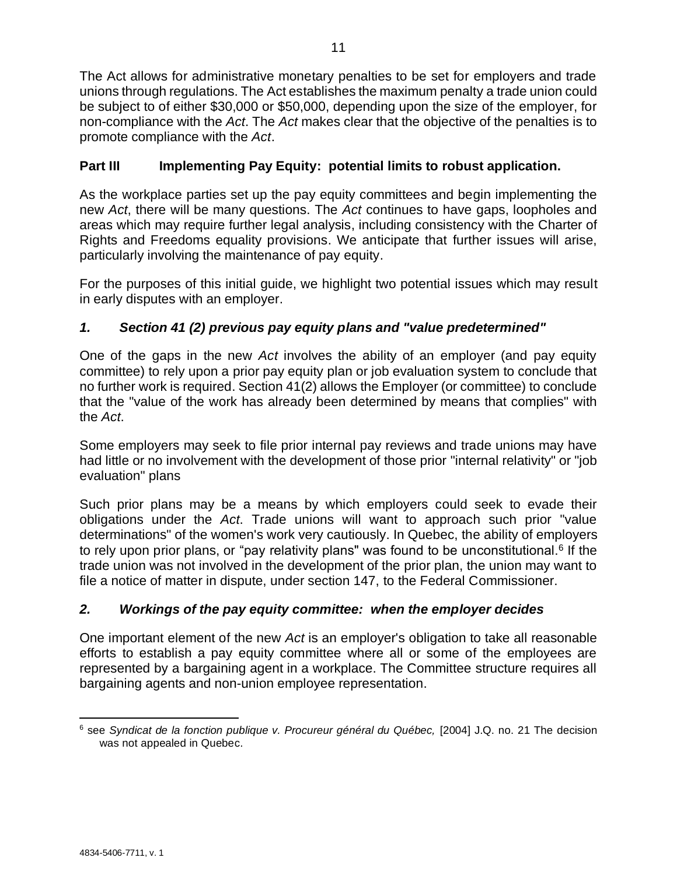The Act allows for administrative monetary penalties to be set for employers and trade unions through regulations. The Act establishes the maximum penalty a trade union could be subject to of either \$30,000 or \$50,000, depending upon the size of the employer, for non-compliance with the *Act*. The *Act* makes clear that the objective of the penalties is to promote compliance with the *Act*.

# **Part III Implementing Pay Equity: potential limits to robust application.**

As the workplace parties set up the pay equity committees and begin implementing the new *Act*, there will be many questions. The *Act* continues to have gaps, loopholes and areas which may require further legal analysis, including consistency with the Charter of Rights and Freedoms equality provisions. We anticipate that further issues will arise, particularly involving the maintenance of pay equity.

For the purposes of this initial guide, we highlight two potential issues which may result in early disputes with an employer.

# *1. Section 41 (2) previous pay equity plans and "value predetermined"*

One of the gaps in the new *Act* involves the ability of an employer (and pay equity committee) to rely upon a prior pay equity plan or job evaluation system to conclude that no further work is required. Section 41(2) allows the Employer (or committee) to conclude that the "value of the work has already been determined by means that complies" with the *Act*.

Some employers may seek to file prior internal pay reviews and trade unions may have had little or no involvement with the development of those prior "internal relativity" or "job evaluation" plans

Such prior plans may be a means by which employers could seek to evade their obligations under the *Act*. Trade unions will want to approach such prior "value determinations" of the women's work very cautiously. In Quebec, the ability of employers to rely upon prior plans, or "pay relativity plans" was found to be unconstitutional.<sup>6</sup> If the trade union was not involved in the development of the prior plan, the union may want to file a notice of matter in dispute, under section 147, to the Federal Commissioner.

# *2. Workings of the pay equity committee: when the employer decides*

One important element of the new *Act* is an employer's obligation to take all reasonable efforts to establish a pay equity committee where all or some of the employees are represented by a bargaining agent in a workplace. The Committee structure requires all bargaining agents and non-union employee representation.

<sup>6</sup> see *Syndicat de la fonction publique v. Procureur général du Québec,* [2004] J.Q. no. 21 The decision was not appealed in Quebec.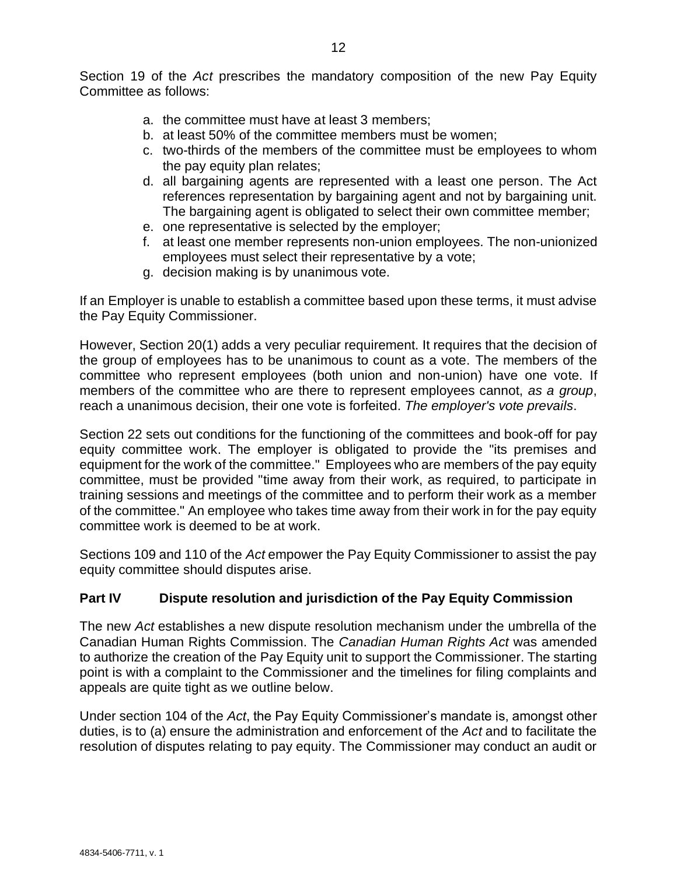Section 19 of the *Act* prescribes the mandatory composition of the new Pay Equity Committee as follows:

- a. the committee must have at least 3 members;
- b. at least 50% of the committee members must be women;
- c. two-thirds of the members of the committee must be employees to whom the pay equity plan relates;
- d. all bargaining agents are represented with a least one person. The Act references representation by bargaining agent and not by bargaining unit. The bargaining agent is obligated to select their own committee member;
- e. one representative is selected by the employer;
- f. at least one member represents non-union employees. The non-unionized employees must select their representative by a vote;
- g. decision making is by unanimous vote.

If an Employer is unable to establish a committee based upon these terms, it must advise the Pay Equity Commissioner.

However, Section 20(1) adds a very peculiar requirement. It requires that the decision of the group of employees has to be unanimous to count as a vote. The members of the committee who represent employees (both union and non-union) have one vote. If members of the committee who are there to represent employees cannot, *as a group*, reach a unanimous decision, their one vote is forfeited. *The employer's vote prevails*.

Section 22 sets out conditions for the functioning of the committees and book-off for pay equity committee work. The employer is obligated to provide the "its premises and equipment for the work of the committee." Employees who are members of the pay equity committee, must be provided "time away from their work, as required, to participate in training sessions and meetings of the committee and to perform their work as a member of the committee." An employee who takes time away from their work in for the pay equity committee work is deemed to be at work.

Sections 109 and 110 of the *Act* empower the Pay Equity Commissioner to assist the pay equity committee should disputes arise.

#### **Part IV Dispute resolution and jurisdiction of the Pay Equity Commission**

The new *Act* establishes a new dispute resolution mechanism under the umbrella of the Canadian Human Rights Commission. The *Canadian Human Rights Act* was amended to authorize the creation of the Pay Equity unit to support the Commissioner. The starting point is with a complaint to the Commissioner and the timelines for filing complaints and appeals are quite tight as we outline below.

Under section 104 of the *Act*, the Pay Equity Commissioner's mandate is, amongst other duties, is to (a) ensure the administration and enforcement of the *Act* and to facilitate the resolution of disputes relating to pay equity. The Commissioner may conduct an audit or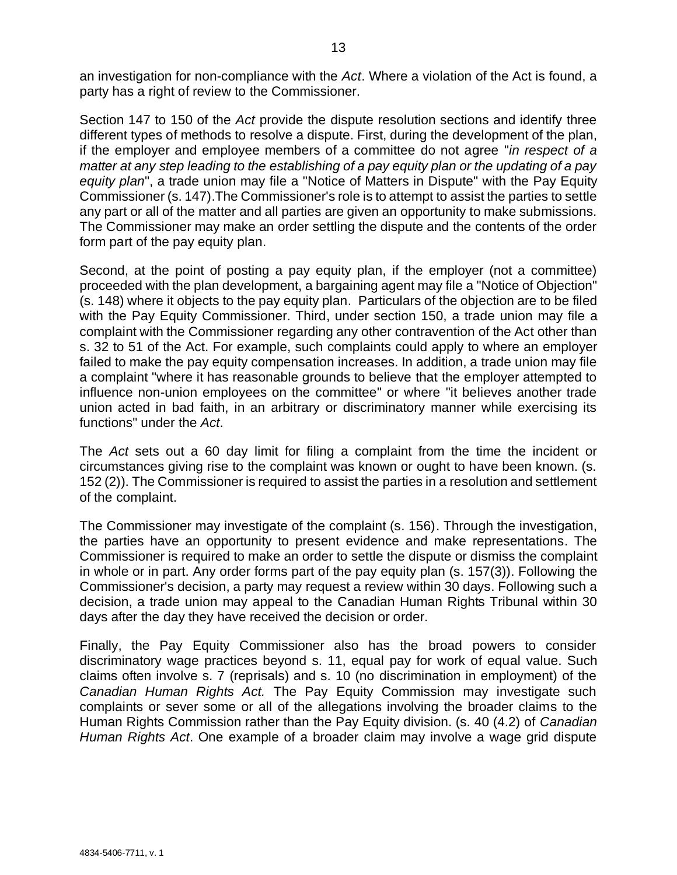an investigation for non-compliance with the *Act*. Where a violation of the Act is found, a party has a right of review to the Commissioner.

Section 147 to 150 of the *Act* provide the dispute resolution sections and identify three different types of methods to resolve a dispute. First, during the development of the plan, if the employer and employee members of a committee do not agree "*in respect of a matter at any step leading to the establishing of a pay equity plan or the updating of a pay equity plan*", a trade union may file a "Notice of Matters in Dispute" with the Pay Equity Commissioner (s. 147).The Commissioner's role is to attempt to assist the parties to settle any part or all of the matter and all parties are given an opportunity to make submissions. The Commissioner may make an order settling the dispute and the contents of the order form part of the pay equity plan.

Second, at the point of posting a pay equity plan, if the employer (not a committee) proceeded with the plan development, a bargaining agent may file a "Notice of Objection" (s. 148) where it objects to the pay equity plan. Particulars of the objection are to be filed with the Pay Equity Commissioner. Third, under section 150, a trade union may file a complaint with the Commissioner regarding any other contravention of the Act other than s. 32 to 51 of the Act. For example, such complaints could apply to where an employer failed to make the pay equity compensation increases. In addition, a trade union may file a complaint "where it has reasonable grounds to believe that the employer attempted to influence non-union employees on the committee" or where "it believes another trade union acted in bad faith, in an arbitrary or discriminatory manner while exercising its functions" under the *Act*.

The *Act* sets out a 60 day limit for filing a complaint from the time the incident or circumstances giving rise to the complaint was known or ought to have been known. (s. 152 (2)). The Commissioner is required to assist the parties in a resolution and settlement of the complaint.

The Commissioner may investigate of the complaint (s. 156). Through the investigation, the parties have an opportunity to present evidence and make representations. The Commissioner is required to make an order to settle the dispute or dismiss the complaint in whole or in part. Any order forms part of the pay equity plan (s. 157(3)). Following the Commissioner's decision, a party may request a review within 30 days. Following such a decision, a trade union may appeal to the Canadian Human Rights Tribunal within 30 days after the day they have received the decision or order.

Finally, the Pay Equity Commissioner also has the broad powers to consider discriminatory wage practices beyond s. 11, equal pay for work of equal value. Such claims often involve s. 7 (reprisals) and s. 10 (no discrimination in employment) of the *Canadian Human Rights Act.* The Pay Equity Commission may investigate such complaints or sever some or all of the allegations involving the broader claims to the Human Rights Commission rather than the Pay Equity division. (s. 40 (4.2) of *Canadian Human Rights Act*. One example of a broader claim may involve a wage grid dispute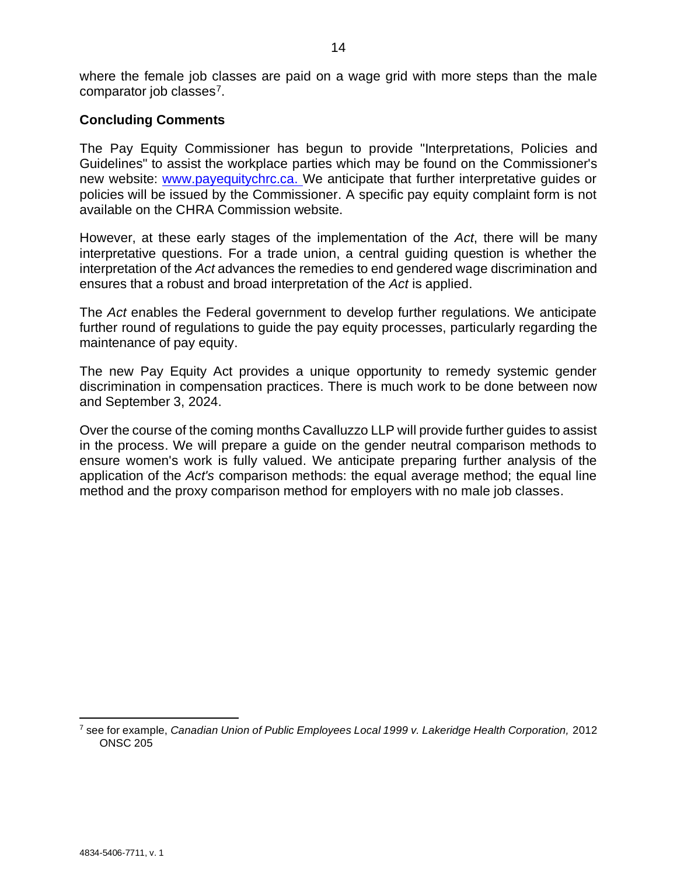where the female job classes are paid on a wage grid with more steps than the male comparator job classes<sup>7</sup>.

#### **Concluding Comments**

The Pay Equity Commissioner has begun to provide "Interpretations, Policies and Guidelines" to assist the workplace parties which may be found on the Commissioner's new website: [www.payequitychrc.ca.](http://www.payequitychrc.ca/) We anticipate that further interpretative guides or policies will be issued by the Commissioner. A specific pay equity complaint form is not available on the CHRA Commission website.

However, at these early stages of the implementation of the *Act*, there will be many interpretative questions. For a trade union, a central guiding question is whether the interpretation of the *Act* advances the remedies to end gendered wage discrimination and ensures that a robust and broad interpretation of the *Act* is applied.

The *Act* enables the Federal government to develop further regulations. We anticipate further round of regulations to guide the pay equity processes, particularly regarding the maintenance of pay equity.

The new Pay Equity Act provides a unique opportunity to remedy systemic gender discrimination in compensation practices. There is much work to be done between now and September 3, 2024.

Over the course of the coming months Cavalluzzo LLP will provide further guides to assist in the process. We will prepare a guide on the gender neutral comparison methods to ensure women's work is fully valued. We anticipate preparing further analysis of the application of the *Act's* comparison methods: the equal average method; the equal line method and the proxy comparison method for employers with no male job classes.

<sup>7</sup> see for example, *Canadian Union of Public Employees Local 1999 v. Lakeridge Health Corporation,* 2012 ONSC 205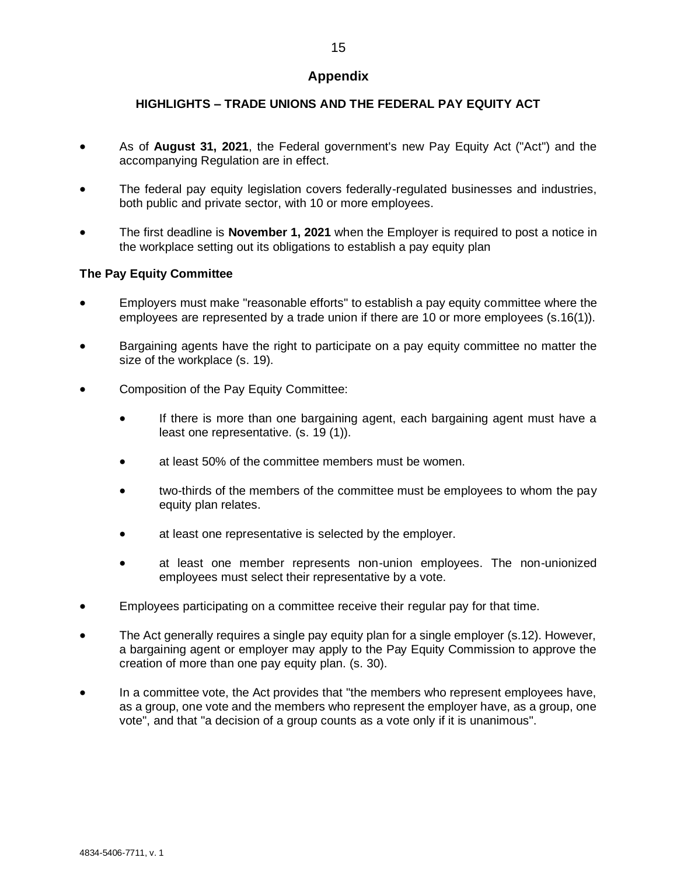#### **Appendix**

#### **HIGHLIGHTS – TRADE UNIONS AND THE FEDERAL PAY EQUITY ACT**

- As of **August 31, 2021**, the Federal government's new Pay Equity Act ("Act") and the accompanying Regulation are in effect.
- The federal pay equity legislation covers federally-regulated businesses and industries, both public and private sector, with 10 or more employees.
- The first deadline is **November 1, 2021** when the Employer is required to post a notice in the workplace setting out its obligations to establish a pay equity plan

#### **The Pay Equity Committee**

- Employers must make "reasonable efforts" to establish a pay equity committee where the employees are represented by a trade union if there are 10 or more employees (s.16(1)).
- Bargaining agents have the right to participate on a pay equity committee no matter the size of the workplace (s. 19).
- Composition of the Pay Equity Committee:
	- If there is more than one bargaining agent, each bargaining agent must have a least one representative. (s. 19 (1)).
	- at least 50% of the committee members must be women.
	- two-thirds of the members of the committee must be employees to whom the pay equity plan relates.
	- at least one representative is selected by the employer.
	- at least one member represents non-union employees. The non-unionized employees must select their representative by a vote.
- Employees participating on a committee receive their regular pay for that time.
- The Act generally requires a single pay equity plan for a single employer (s.12). However, a bargaining agent or employer may apply to the Pay Equity Commission to approve the creation of more than one pay equity plan. (s. 30).
- In a committee vote, the Act provides that "the members who represent employees have, as a group, one vote and the members who represent the employer have, as a group, one vote", and that "a decision of a group counts as a vote only if it is unanimous".